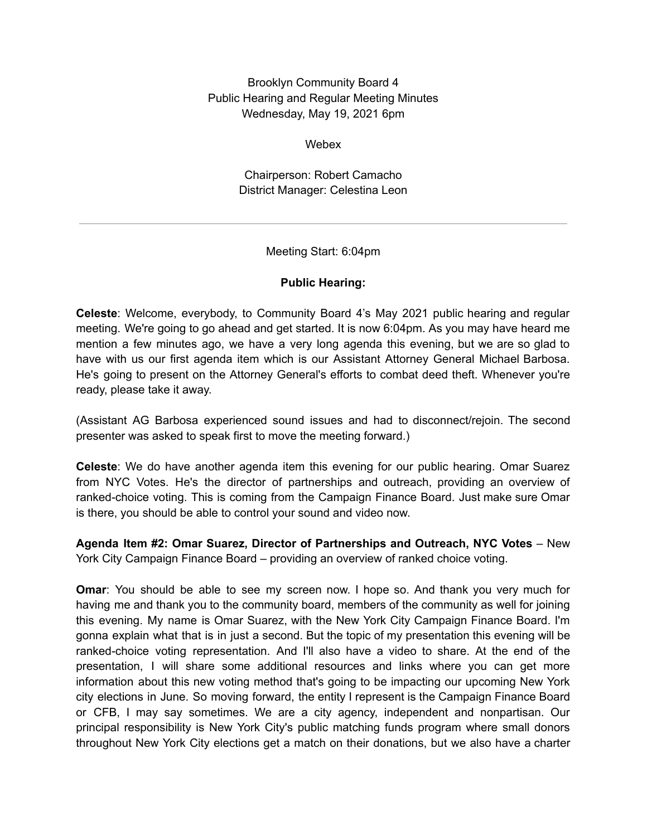Brooklyn Community Board 4 Public Hearing and Regular Meeting Minutes Wednesday, May 19, 2021 6pm

Webex

Chairperson: Robert Camacho District Manager: Celestina Leon

Meeting Start: 6:04pm

# **Public Hearing:**

**Celeste**: Welcome, everybody, to Community Board 4's May 2021 public hearing and regular meeting. We're going to go ahead and get started. It is now 6:04pm. As you may have heard me mention a few minutes ago, we have a very long agenda this evening, but we are so glad to have with us our first agenda item which is our Assistant Attorney General Michael Barbosa. He's going to present on the Attorney General's efforts to combat deed theft. Whenever you're ready, please take it away.

(Assistant AG Barbosa experienced sound issues and had to disconnect/rejoin. The second presenter was asked to speak first to move the meeting forward.)

**Celeste**: We do have another agenda item this evening for our public hearing. Omar Suarez from NYC Votes. He's the director of partnerships and outreach, providing an overview of ranked-choice voting. This is coming from the Campaign Finance Board. Just make sure Omar is there, you should be able to control your sound and video now.

**Agenda Item #2: Omar Suarez, Director of Partnerships and Outreach, NYC Votes** – New York City Campaign Finance Board – providing an overview of ranked choice voting.

**Omar**: You should be able to see my screen now. I hope so. And thank you very much for having me and thank you to the community board, members of the community as well for joining this evening. My name is Omar Suarez, with the New York City Campaign Finance Board. I'm gonna explain what that is in just a second. But the topic of my presentation this evening will be ranked-choice voting representation. And I'll also have a video to share. At the end of the presentation, I will share some additional resources and links where you can get more information about this new voting method that's going to be impacting our upcoming New York city elections in June. So moving forward, the entity I represent is the Campaign Finance Board or CFB, I may say sometimes. We are a city agency, independent and nonpartisan. Our principal responsibility is New York City's public matching funds program where small donors throughout New York City elections get a match on their donations, but we also have a charter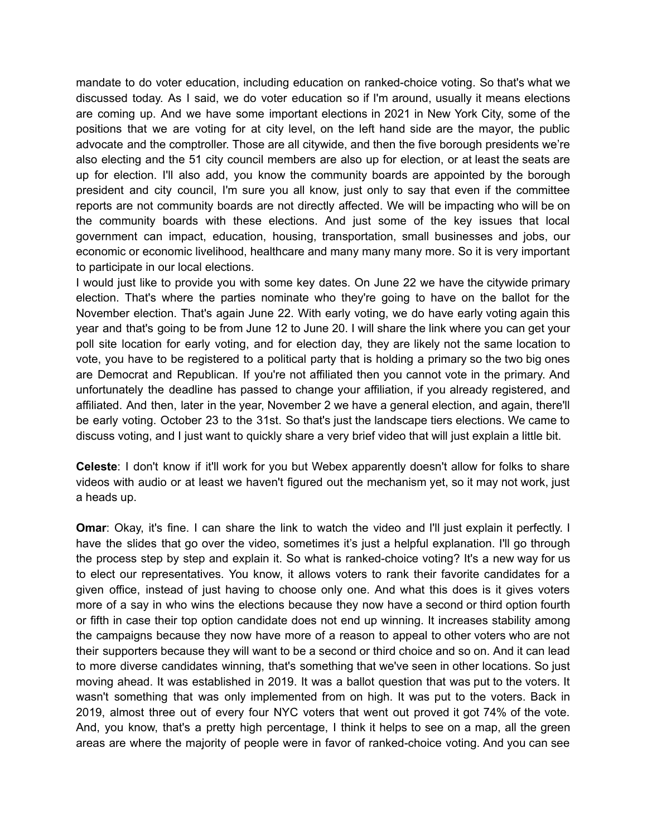mandate to do voter education, including education on ranked-choice voting. So that's what we discussed today. As I said, we do voter education so if I'm around, usually it means elections are coming up. And we have some important elections in 2021 in New York City, some of the positions that we are voting for at city level, on the left hand side are the mayor, the public advocate and the comptroller. Those are all citywide, and then the five borough presidents we're also electing and the 51 city council members are also up for election, or at least the seats are up for election. I'll also add, you know the community boards are appointed by the borough president and city council, I'm sure you all know, just only to say that even if the committee reports are not community boards are not directly affected. We will be impacting who will be on the community boards with these elections. And just some of the key issues that local government can impact, education, housing, transportation, small businesses and jobs, our economic or economic livelihood, healthcare and many many many more. So it is very important to participate in our local elections.

I would just like to provide you with some key dates. On June 22 we have the citywide primary election. That's where the parties nominate who they're going to have on the ballot for the November election. That's again June 22. With early voting, we do have early voting again this year and that's going to be from June 12 to June 20. I will share the link where you can get your poll site location for early voting, and for election day, they are likely not the same location to vote, you have to be registered to a political party that is holding a primary so the two big ones are Democrat and Republican. If you're not affiliated then you cannot vote in the primary. And unfortunately the deadline has passed to change your affiliation, if you already registered, and affiliated. And then, later in the year, November 2 we have a general election, and again, there'll be early voting. October 23 to the 31st. So that's just the landscape tiers elections. We came to discuss voting, and I just want to quickly share a very brief video that will just explain a little bit.

**Celeste**: I don't know if it'll work for you but Webex apparently doesn't allow for folks to share videos with audio or at least we haven't figured out the mechanism yet, so it may not work, just a heads up.

**Omar:** Okay, it's fine. I can share the link to watch the video and I'll just explain it perfectly. I have the slides that go over the video, sometimes it's just a helpful explanation. I'll go through the process step by step and explain it. So what is ranked-choice voting? It's a new way for us to elect our representatives. You know, it allows voters to rank their favorite candidates for a given office, instead of just having to choose only one. And what this does is it gives voters more of a say in who wins the elections because they now have a second or third option fourth or fifth in case their top option candidate does not end up winning. It increases stability among the campaigns because they now have more of a reason to appeal to other voters who are not their supporters because they will want to be a second or third choice and so on. And it can lead to more diverse candidates winning, that's something that we've seen in other locations. So just moving ahead. It was established in 2019. It was a ballot question that was put to the voters. It wasn't something that was only implemented from on high. It was put to the voters. Back in 2019, almost three out of every four NYC voters that went out proved it got 74% of the vote. And, you know, that's a pretty high percentage, I think it helps to see on a map, all the green areas are where the majority of people were in favor of ranked-choice voting. And you can see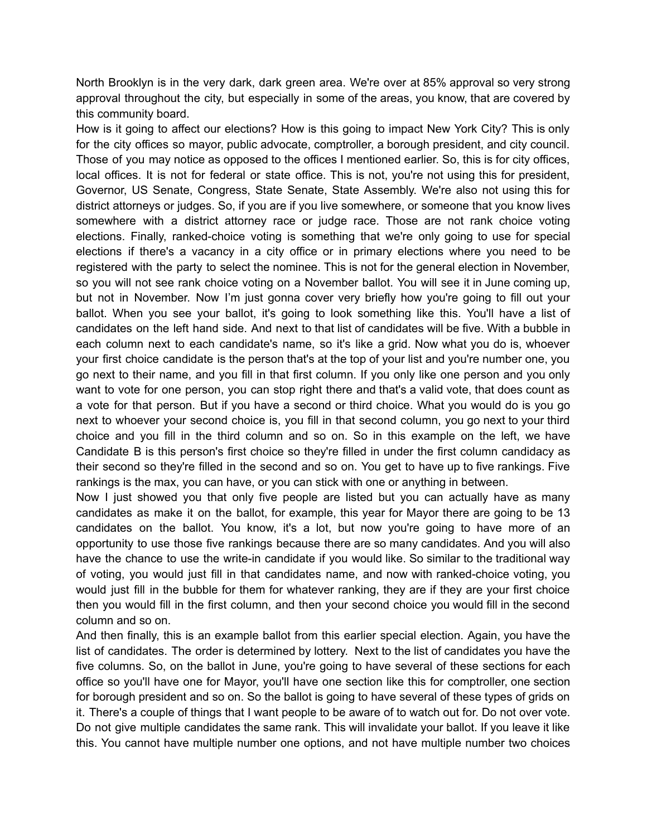North Brooklyn is in the very dark, dark green area. We're over at 85% approval so very strong approval throughout the city, but especially in some of the areas, you know, that are covered by this community board.

How is it going to affect our elections? How is this going to impact New York City? This is only for the city offices so mayor, public advocate, comptroller, a borough president, and city council. Those of you may notice as opposed to the offices I mentioned earlier. So, this is for city offices, local offices. It is not for federal or state office. This is not, you're not using this for president, Governor, US Senate, Congress, State Senate, State Assembly. We're also not using this for district attorneys or judges. So, if you are if you live somewhere, or someone that you know lives somewhere with a district attorney race or judge race. Those are not rank choice voting elections. Finally, ranked-choice voting is something that we're only going to use for special elections if there's a vacancy in a city office or in primary elections where you need to be registered with the party to select the nominee. This is not for the general election in November, so you will not see rank choice voting on a November ballot. You will see it in June coming up, but not in November. Now I'm just gonna cover very briefly how you're going to fill out your ballot. When you see your ballot, it's going to look something like this. You'll have a list of candidates on the left hand side. And next to that list of candidates will be five. With a bubble in each column next to each candidate's name, so it's like a grid. Now what you do is, whoever your first choice candidate is the person that's at the top of your list and you're number one, you go next to their name, and you fill in that first column. If you only like one person and you only want to vote for one person, you can stop right there and that's a valid vote, that does count as a vote for that person. But if you have a second or third choice. What you would do is you go next to whoever your second choice is, you fill in that second column, you go next to your third choice and you fill in the third column and so on. So in this example on the left, we have Candidate B is this person's first choice so they're filled in under the first column candidacy as their second so they're filled in the second and so on. You get to have up to five rankings. Five rankings is the max, you can have, or you can stick with one or anything in between.

Now I just showed you that only five people are listed but you can actually have as many candidates as make it on the ballot, for example, this year for Mayor there are going to be 13 candidates on the ballot. You know, it's a lot, but now you're going to have more of an opportunity to use those five rankings because there are so many candidates. And you will also have the chance to use the write-in candidate if you would like. So similar to the traditional way of voting, you would just fill in that candidates name, and now with ranked-choice voting, you would just fill in the bubble for them for whatever ranking, they are if they are your first choice then you would fill in the first column, and then your second choice you would fill in the second column and so on.

And then finally, this is an example ballot from this earlier special election. Again, you have the list of candidates. The order is determined by lottery. Next to the list of candidates you have the five columns. So, on the ballot in June, you're going to have several of these sections for each office so you'll have one for Mayor, you'll have one section like this for comptroller, one section for borough president and so on. So the ballot is going to have several of these types of grids on it. There's a couple of things that I want people to be aware of to watch out for. Do not over vote. Do not give multiple candidates the same rank. This will invalidate your ballot. If you leave it like this. You cannot have multiple number one options, and not have multiple number two choices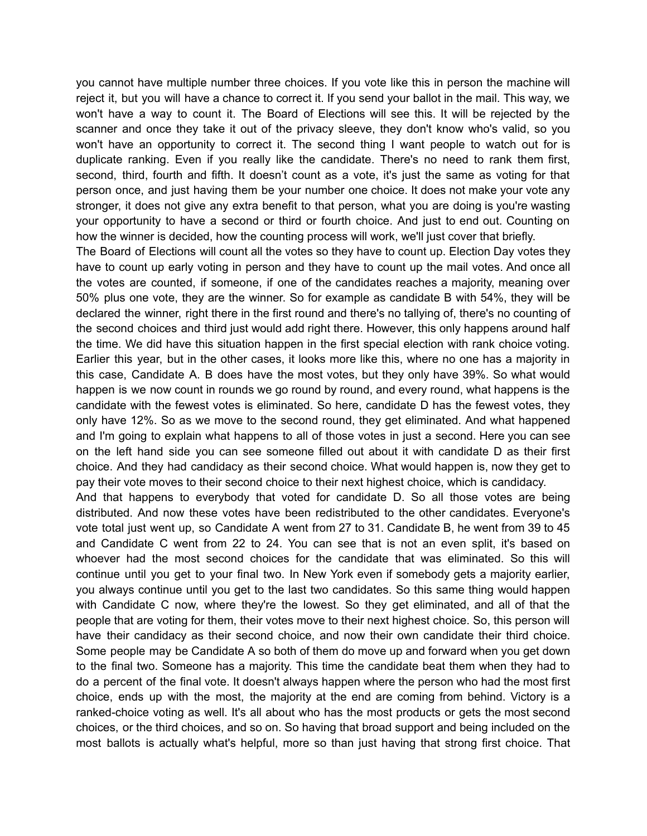you cannot have multiple number three choices. If you vote like this in person the machine will reject it, but you will have a chance to correct it. If you send your ballot in the mail. This way, we won't have a way to count it. The Board of Elections will see this. It will be rejected by the scanner and once they take it out of the privacy sleeve, they don't know who's valid, so you won't have an opportunity to correct it. The second thing I want people to watch out for is duplicate ranking. Even if you really like the candidate. There's no need to rank them first, second, third, fourth and fifth. It doesn't count as a vote, it's just the same as voting for that person once, and just having them be your number one choice. It does not make your vote any stronger, it does not give any extra benefit to that person, what you are doing is you're wasting your opportunity to have a second or third or fourth choice. And just to end out. Counting on how the winner is decided, how the counting process will work, we'll just cover that briefly.

The Board of Elections will count all the votes so they have to count up. Election Day votes they have to count up early voting in person and they have to count up the mail votes. And once all the votes are counted, if someone, if one of the candidates reaches a majority, meaning over 50% plus one vote, they are the winner. So for example as candidate B with 54%, they will be declared the winner, right there in the first round and there's no tallying of, there's no counting of the second choices and third just would add right there. However, this only happens around half the time. We did have this situation happen in the first special election with rank choice voting. Earlier this year, but in the other cases, it looks more like this, where no one has a majority in this case, Candidate A. B does have the most votes, but they only have 39%. So what would happen is we now count in rounds we go round by round, and every round, what happens is the candidate with the fewest votes is eliminated. So here, candidate D has the fewest votes, they only have 12%. So as we move to the second round, they get eliminated. And what happened and I'm going to explain what happens to all of those votes in just a second. Here you can see on the left hand side you can see someone filled out about it with candidate D as their first choice. And they had candidacy as their second choice. What would happen is, now they get to pay their vote moves to their second choice to their next highest choice, which is candidacy.

And that happens to everybody that voted for candidate D. So all those votes are being distributed. And now these votes have been redistributed to the other candidates. Everyone's vote total just went up, so Candidate A went from 27 to 31. Candidate B, he went from 39 to 45 and Candidate C went from 22 to 24. You can see that is not an even split, it's based on whoever had the most second choices for the candidate that was eliminated. So this will continue until you get to your final two. In New York even if somebody gets a majority earlier, you always continue until you get to the last two candidates. So this same thing would happen with Candidate C now, where they're the lowest. So they get eliminated, and all of that the people that are voting for them, their votes move to their next highest choice. So, this person will have their candidacy as their second choice, and now their own candidate their third choice. Some people may be Candidate A so both of them do move up and forward when you get down to the final two. Someone has a majority. This time the candidate beat them when they had to do a percent of the final vote. It doesn't always happen where the person who had the most first choice, ends up with the most, the majority at the end are coming from behind. Victory is a ranked-choice voting as well. It's all about who has the most products or gets the most second choices, or the third choices, and so on. So having that broad support and being included on the most ballots is actually what's helpful, more so than just having that strong first choice. That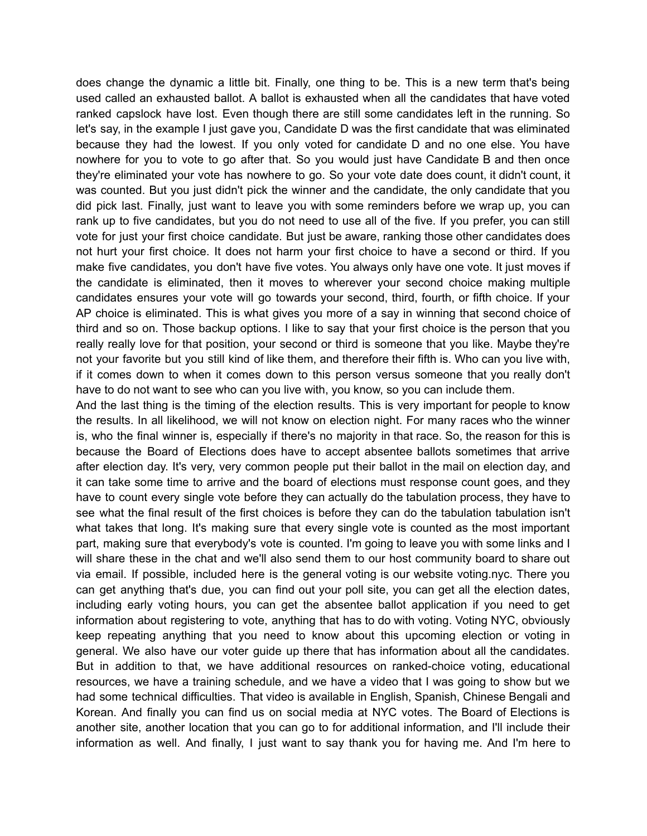does change the dynamic a little bit. Finally, one thing to be. This is a new term that's being used called an exhausted ballot. A ballot is exhausted when all the candidates that have voted ranked capslock have lost. Even though there are still some candidates left in the running. So let's say, in the example I just gave you, Candidate D was the first candidate that was eliminated because they had the lowest. If you only voted for candidate D and no one else. You have nowhere for you to vote to go after that. So you would just have Candidate B and then once they're eliminated your vote has nowhere to go. So your vote date does count, it didn't count, it was counted. But you just didn't pick the winner and the candidate, the only candidate that you did pick last. Finally, just want to leave you with some reminders before we wrap up, you can rank up to five candidates, but you do not need to use all of the five. If you prefer, you can still vote for just your first choice candidate. But just be aware, ranking those other candidates does not hurt your first choice. It does not harm your first choice to have a second or third. If you make five candidates, you don't have five votes. You always only have one vote. It just moves if the candidate is eliminated, then it moves to wherever your second choice making multiple candidates ensures your vote will go towards your second, third, fourth, or fifth choice. If your AP choice is eliminated. This is what gives you more of a say in winning that second choice of third and so on. Those backup options. I like to say that your first choice is the person that you really really love for that position, your second or third is someone that you like. Maybe they're not your favorite but you still kind of like them, and therefore their fifth is. Who can you live with, if it comes down to when it comes down to this person versus someone that you really don't have to do not want to see who can you live with, you know, so you can include them.

And the last thing is the timing of the election results. This is very important for people to know the results. In all likelihood, we will not know on election night. For many races who the winner is, who the final winner is, especially if there's no majority in that race. So, the reason for this is because the Board of Elections does have to accept absentee ballots sometimes that arrive after election day. It's very, very common people put their ballot in the mail on election day, and it can take some time to arrive and the board of elections must response count goes, and they have to count every single vote before they can actually do the tabulation process, they have to see what the final result of the first choices is before they can do the tabulation tabulation isn't what takes that long. It's making sure that every single vote is counted as the most important part, making sure that everybody's vote is counted. I'm going to leave you with some links and I will share these in the chat and we'll also send them to our host community board to share out via email. If possible, included here is the general voting is our website voting.nyc. There you can get anything that's due, you can find out your poll site, you can get all the election dates, including early voting hours, you can get the absentee ballot application if you need to get information about registering to vote, anything that has to do with voting. Voting NYC, obviously keep repeating anything that you need to know about this upcoming election or voting in general. We also have our voter guide up there that has information about all the candidates. But in addition to that, we have additional resources on ranked-choice voting, educational resources, we have a training schedule, and we have a video that I was going to show but we had some technical difficulties. That video is available in English, Spanish, Chinese Bengali and Korean. And finally you can find us on social media at NYC votes. The Board of Elections is another site, another location that you can go to for additional information, and I'll include their information as well. And finally, I just want to say thank you for having me. And I'm here to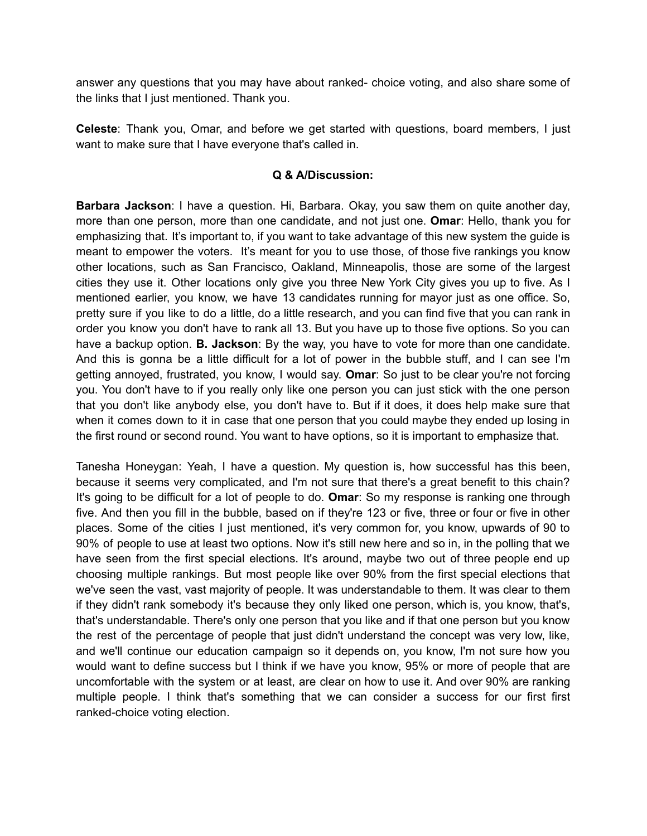answer any questions that you may have about ranked- choice voting, and also share some of the links that I just mentioned. Thank you.

**Celeste**: Thank you, Omar, and before we get started with questions, board members, I just want to make sure that I have everyone that's called in.

#### **Q & A/Discussion:**

**Barbara Jackson**: I have a question. Hi, Barbara. Okay, you saw them on quite another day, more than one person, more than one candidate, and not just one. **Omar**: Hello, thank you for emphasizing that. It's important to, if you want to take advantage of this new system the guide is meant to empower the voters. It's meant for you to use those, of those five rankings you know other locations, such as San Francisco, Oakland, Minneapolis, those are some of the largest cities they use it. Other locations only give you three New York City gives you up to five. As I mentioned earlier, you know, we have 13 candidates running for mayor just as one office. So, pretty sure if you like to do a little, do a little research, and you can find five that you can rank in order you know you don't have to rank all 13. But you have up to those five options. So you can have a backup option. **B. Jackson**: By the way, you have to vote for more than one candidate. And this is gonna be a little difficult for a lot of power in the bubble stuff, and I can see I'm getting annoyed, frustrated, you know, I would say. **Omar**: So just to be clear you're not forcing you. You don't have to if you really only like one person you can just stick with the one person that you don't like anybody else, you don't have to. But if it does, it does help make sure that when it comes down to it in case that one person that you could maybe they ended up losing in the first round or second round. You want to have options, so it is important to emphasize that.

Tanesha Honeygan: Yeah, I have a question. My question is, how successful has this been, because it seems very complicated, and I'm not sure that there's a great benefit to this chain? It's going to be difficult for a lot of people to do. **Omar**: So my response is ranking one through five. And then you fill in the bubble, based on if they're 123 or five, three or four or five in other places. Some of the cities I just mentioned, it's very common for, you know, upwards of 90 to 90% of people to use at least two options. Now it's still new here and so in, in the polling that we have seen from the first special elections. It's around, maybe two out of three people end up choosing multiple rankings. But most people like over 90% from the first special elections that we've seen the vast, vast majority of people. It was understandable to them. It was clear to them if they didn't rank somebody it's because they only liked one person, which is, you know, that's, that's understandable. There's only one person that you like and if that one person but you know the rest of the percentage of people that just didn't understand the concept was very low, like, and we'll continue our education campaign so it depends on, you know, I'm not sure how you would want to define success but I think if we have you know, 95% or more of people that are uncomfortable with the system or at least, are clear on how to use it. And over 90% are ranking multiple people. I think that's something that we can consider a success for our first first ranked-choice voting election.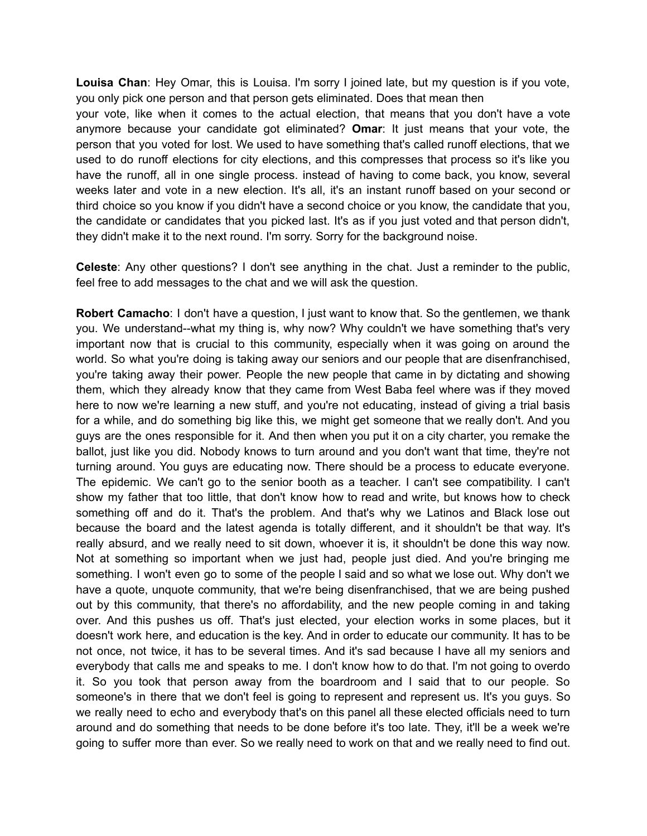**Louisa Chan**: Hey Omar, this is Louisa. I'm sorry I joined late, but my question is if you vote, you only pick one person and that person gets eliminated. Does that mean then

your vote, like when it comes to the actual election, that means that you don't have a vote anymore because your candidate got eliminated? **Omar**: It just means that your vote, the person that you voted for lost. We used to have something that's called runoff elections, that we used to do runoff elections for city elections, and this compresses that process so it's like you have the runoff, all in one single process. instead of having to come back, you know, several weeks later and vote in a new election. It's all, it's an instant runoff based on your second or third choice so you know if you didn't have a second choice or you know, the candidate that you, the candidate or candidates that you picked last. It's as if you just voted and that person didn't, they didn't make it to the next round. I'm sorry. Sorry for the background noise.

**Celeste**: Any other questions? I don't see anything in the chat. Just a reminder to the public, feel free to add messages to the chat and we will ask the question.

**Robert Camacho**: I don't have a question, I just want to know that. So the gentlemen, we thank you. We understand--what my thing is, why now? Why couldn't we have something that's very important now that is crucial to this community, especially when it was going on around the world. So what you're doing is taking away our seniors and our people that are disenfranchised, you're taking away their power. People the new people that came in by dictating and showing them, which they already know that they came from West Baba feel where was if they moved here to now we're learning a new stuff, and you're not educating, instead of giving a trial basis for a while, and do something big like this, we might get someone that we really don't. And you guys are the ones responsible for it. And then when you put it on a city charter, you remake the ballot, just like you did. Nobody knows to turn around and you don't want that time, they're not turning around. You guys are educating now. There should be a process to educate everyone. The epidemic. We can't go to the senior booth as a teacher. I can't see compatibility. I can't show my father that too little, that don't know how to read and write, but knows how to check something off and do it. That's the problem. And that's why we Latinos and Black lose out because the board and the latest agenda is totally different, and it shouldn't be that way. It's really absurd, and we really need to sit down, whoever it is, it shouldn't be done this way now. Not at something so important when we just had, people just died. And you're bringing me something. I won't even go to some of the people I said and so what we lose out. Why don't we have a quote, unquote community, that we're being disenfranchised, that we are being pushed out by this community, that there's no affordability, and the new people coming in and taking over. And this pushes us off. That's just elected, your election works in some places, but it doesn't work here, and education is the key. And in order to educate our community. It has to be not once, not twice, it has to be several times. And it's sad because I have all my seniors and everybody that calls me and speaks to me. I don't know how to do that. I'm not going to overdo it. So you took that person away from the boardroom and I said that to our people. So someone's in there that we don't feel is going to represent and represent us. It's you guys. So we really need to echo and everybody that's on this panel all these elected officials need to turn around and do something that needs to be done before it's too late. They, it'll be a week we're going to suffer more than ever. So we really need to work on that and we really need to find out.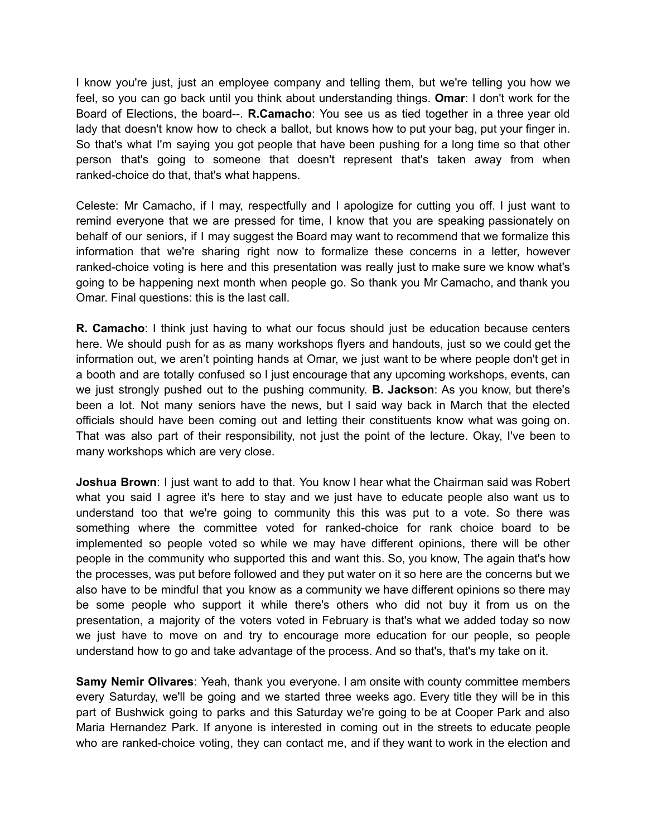I know you're just, just an employee company and telling them, but we're telling you how we feel, so you can go back until you think about understanding things. **Omar**: I don't work for the Board of Elections, the board--. **R.Camacho**: You see us as tied together in a three year old lady that doesn't know how to check a ballot, but knows how to put your bag, put your finger in. So that's what I'm saying you got people that have been pushing for a long time so that other person that's going to someone that doesn't represent that's taken away from when ranked-choice do that, that's what happens.

Celeste: Mr Camacho, if I may, respectfully and I apologize for cutting you off. I just want to remind everyone that we are pressed for time, I know that you are speaking passionately on behalf of our seniors, if I may suggest the Board may want to recommend that we formalize this information that we're sharing right now to formalize these concerns in a letter, however ranked-choice voting is here and this presentation was really just to make sure we know what's going to be happening next month when people go. So thank you Mr Camacho, and thank you Omar. Final questions: this is the last call.

**R. Camacho**: I think just having to what our focus should just be education because centers here. We should push for as as many workshops flyers and handouts, just so we could get the information out, we aren't pointing hands at Omar, we just want to be where people don't get in a booth and are totally confused so I just encourage that any upcoming workshops, events, can we just strongly pushed out to the pushing community. **B. Jackson**: As you know, but there's been a lot. Not many seniors have the news, but I said way back in March that the elected officials should have been coming out and letting their constituents know what was going on. That was also part of their responsibility, not just the point of the lecture. Okay, I've been to many workshops which are very close.

**Joshua Brown**: I just want to add to that. You know I hear what the Chairman said was Robert what you said I agree it's here to stay and we just have to educate people also want us to understand too that we're going to community this this was put to a vote. So there was something where the committee voted for ranked-choice for rank choice board to be implemented so people voted so while we may have different opinions, there will be other people in the community who supported this and want this. So, you know, The again that's how the processes, was put before followed and they put water on it so here are the concerns but we also have to be mindful that you know as a community we have different opinions so there may be some people who support it while there's others who did not buy it from us on the presentation, a majority of the voters voted in February is that's what we added today so now we just have to move on and try to encourage more education for our people, so people understand how to go and take advantage of the process. And so that's, that's my take on it.

**Samy Nemir Olivares**: Yeah, thank you everyone. I am onsite with county committee members every Saturday, we'll be going and we started three weeks ago. Every title they will be in this part of Bushwick going to parks and this Saturday we're going to be at Cooper Park and also Maria Hernandez Park. If anyone is interested in coming out in the streets to educate people who are ranked-choice voting, they can contact me, and if they want to work in the election and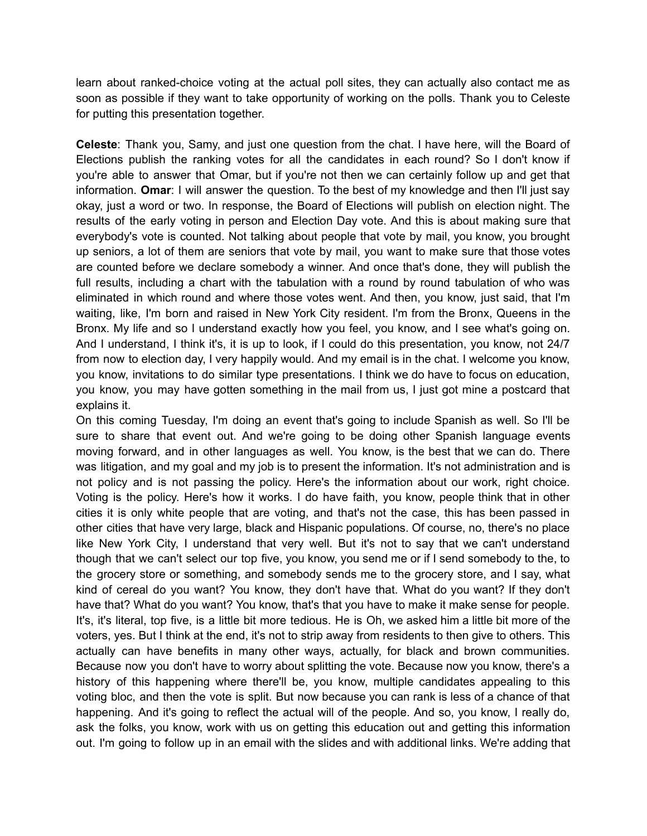learn about ranked-choice voting at the actual poll sites, they can actually also contact me as soon as possible if they want to take opportunity of working on the polls. Thank you to Celeste for putting this presentation together.

**Celeste**: Thank you, Samy, and just one question from the chat. I have here, will the Board of Elections publish the ranking votes for all the candidates in each round? So I don't know if you're able to answer that Omar, but if you're not then we can certainly follow up and get that information. **Omar**: I will answer the question. To the best of my knowledge and then I'll just say okay, just a word or two. In response, the Board of Elections will publish on election night. The results of the early voting in person and Election Day vote. And this is about making sure that everybody's vote is counted. Not talking about people that vote by mail, you know, you brought up seniors, a lot of them are seniors that vote by mail, you want to make sure that those votes are counted before we declare somebody a winner. And once that's done, they will publish the full results, including a chart with the tabulation with a round by round tabulation of who was eliminated in which round and where those votes went. And then, you know, just said, that I'm waiting, like, I'm born and raised in New York City resident. I'm from the Bronx, Queens in the Bronx. My life and so I understand exactly how you feel, you know, and I see what's going on. And I understand, I think it's, it is up to look, if I could do this presentation, you know, not 24/7 from now to election day, I very happily would. And my email is in the chat. I welcome you know, you know, invitations to do similar type presentations. I think we do have to focus on education, you know, you may have gotten something in the mail from us, I just got mine a postcard that explains it.

On this coming Tuesday, I'm doing an event that's going to include Spanish as well. So I'll be sure to share that event out. And we're going to be doing other Spanish language events moving forward, and in other languages as well. You know, is the best that we can do. There was litigation, and my goal and my job is to present the information. It's not administration and is not policy and is not passing the policy. Here's the information about our work, right choice. Voting is the policy. Here's how it works. I do have faith, you know, people think that in other cities it is only white people that are voting, and that's not the case, this has been passed in other cities that have very large, black and Hispanic populations. Of course, no, there's no place like New York City, I understand that very well. But it's not to say that we can't understand though that we can't select our top five, you know, you send me or if I send somebody to the, to the grocery store or something, and somebody sends me to the grocery store, and I say, what kind of cereal do you want? You know, they don't have that. What do you want? If they don't have that? What do you want? You know, that's that you have to make it make sense for people. It's, it's literal, top five, is a little bit more tedious. He is Oh, we asked him a little bit more of the voters, yes. But I think at the end, it's not to strip away from residents to then give to others. This actually can have benefits in many other ways, actually, for black and brown communities. Because now you don't have to worry about splitting the vote. Because now you know, there's a history of this happening where there'll be, you know, multiple candidates appealing to this voting bloc, and then the vote is split. But now because you can rank is less of a chance of that happening. And it's going to reflect the actual will of the people. And so, you know, I really do, ask the folks, you know, work with us on getting this education out and getting this information out. I'm going to follow up in an email with the slides and with additional links. We're adding that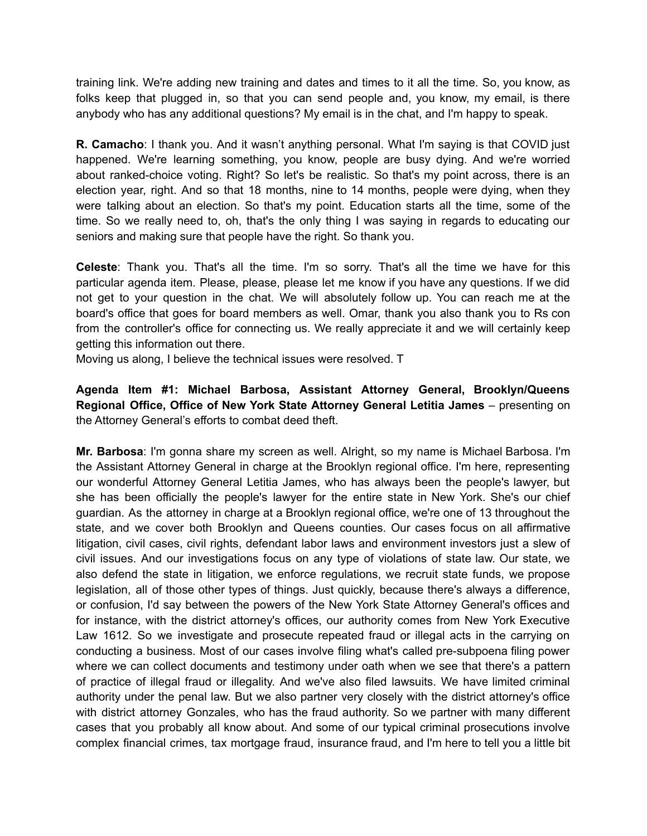training link. We're adding new training and dates and times to it all the time. So, you know, as folks keep that plugged in, so that you can send people and, you know, my email, is there anybody who has any additional questions? My email is in the chat, and I'm happy to speak.

**R. Camacho**: I thank you. And it wasn't anything personal. What I'm saying is that COVID just happened. We're learning something, you know, people are busy dying. And we're worried about ranked-choice voting. Right? So let's be realistic. So that's my point across, there is an election year, right. And so that 18 months, nine to 14 months, people were dying, when they were talking about an election. So that's my point. Education starts all the time, some of the time. So we really need to, oh, that's the only thing I was saying in regards to educating our seniors and making sure that people have the right. So thank you.

**Celeste**: Thank you. That's all the time. I'm so sorry. That's all the time we have for this particular agenda item. Please, please, please let me know if you have any questions. If we did not get to your question in the chat. We will absolutely follow up. You can reach me at the board's office that goes for board members as well. Omar, thank you also thank you to Rs con from the controller's office for connecting us. We really appreciate it and we will certainly keep getting this information out there.

Moving us along, I believe the technical issues were resolved. T

# **Agenda Item #1: Michael Barbosa, Assistant Attorney General, Brooklyn/Queens Regional Office, Office of New York State Attorney General Letitia James** – presenting on the Attorney General's efforts to combat deed theft.

**Mr. Barbosa**: I'm gonna share my screen as well. Alright, so my name is Michael Barbosa. I'm the Assistant Attorney General in charge at the Brooklyn regional office. I'm here, representing our wonderful Attorney General Letitia James, who has always been the people's lawyer, but she has been officially the people's lawyer for the entire state in New York. She's our chief guardian. As the attorney in charge at a Brooklyn regional office, we're one of 13 throughout the state, and we cover both Brooklyn and Queens counties. Our cases focus on all affirmative litigation, civil cases, civil rights, defendant labor laws and environment investors just a slew of civil issues. And our investigations focus on any type of violations of state law. Our state, we also defend the state in litigation, we enforce regulations, we recruit state funds, we propose legislation, all of those other types of things. Just quickly, because there's always a difference, or confusion, I'd say between the powers of the New York State Attorney General's offices and for instance, with the district attorney's offices, our authority comes from New York Executive Law 1612. So we investigate and prosecute repeated fraud or illegal acts in the carrying on conducting a business. Most of our cases involve filing what's called pre-subpoena filing power where we can collect documents and testimony under oath when we see that there's a pattern of practice of illegal fraud or illegality. And we've also filed lawsuits. We have limited criminal authority under the penal law. But we also partner very closely with the district attorney's office with district attorney Gonzales, who has the fraud authority. So we partner with many different cases that you probably all know about. And some of our typical criminal prosecutions involve complex financial crimes, tax mortgage fraud, insurance fraud, and I'm here to tell you a little bit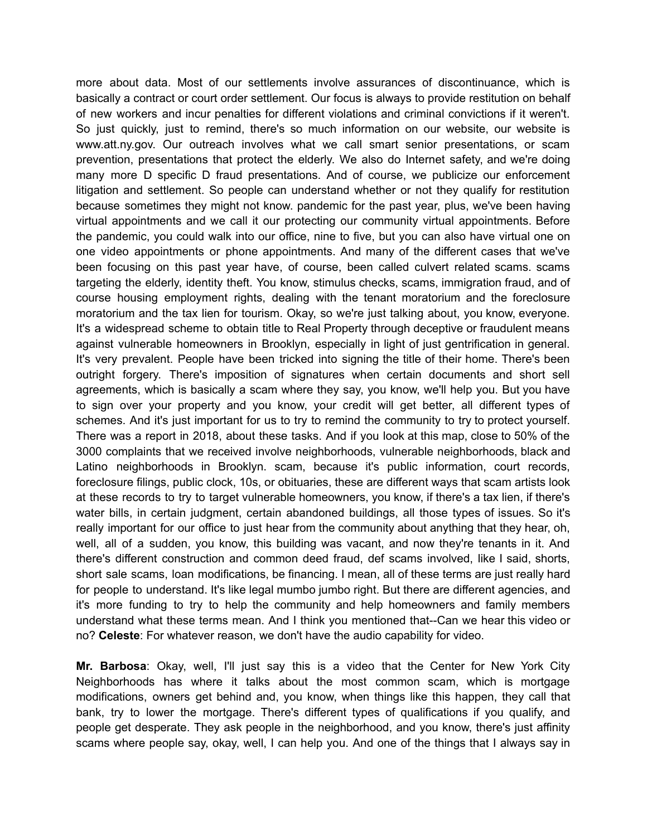more about data. Most of our settlements involve assurances of discontinuance, which is basically a contract or court order settlement. Our focus is always to provide restitution on behalf of new workers and incur penalties for different violations and criminal convictions if it weren't. So just quickly, just to remind, there's so much information on our website, our website is www.att.ny.gov. Our outreach involves what we call smart senior presentations, or scam prevention, presentations that protect the elderly. We also do Internet safety, and we're doing many more D specific D fraud presentations. And of course, we publicize our enforcement litigation and settlement. So people can understand whether or not they qualify for restitution because sometimes they might not know. pandemic for the past year, plus, we've been having virtual appointments and we call it our protecting our community virtual appointments. Before the pandemic, you could walk into our office, nine to five, but you can also have virtual one on one video appointments or phone appointments. And many of the different cases that we've been focusing on this past year have, of course, been called culvert related scams. scams targeting the elderly, identity theft. You know, stimulus checks, scams, immigration fraud, and of course housing employment rights, dealing with the tenant moratorium and the foreclosure moratorium and the tax lien for tourism. Okay, so we're just talking about, you know, everyone. It's a widespread scheme to obtain title to Real Property through deceptive or fraudulent means against vulnerable homeowners in Brooklyn, especially in light of just gentrification in general. It's very prevalent. People have been tricked into signing the title of their home. There's been outright forgery. There's imposition of signatures when certain documents and short sell agreements, which is basically a scam where they say, you know, we'll help you. But you have to sign over your property and you know, your credit will get better, all different types of schemes. And it's just important for us to try to remind the community to try to protect yourself. There was a report in 2018, about these tasks. And if you look at this map, close to 50% of the 3000 complaints that we received involve neighborhoods, vulnerable neighborhoods, black and Latino neighborhoods in Brooklyn. scam, because it's public information, court records, foreclosure filings, public clock, 10s, or obituaries, these are different ways that scam artists look at these records to try to target vulnerable homeowners, you know, if there's a tax lien, if there's water bills, in certain judgment, certain abandoned buildings, all those types of issues. So it's really important for our office to just hear from the community about anything that they hear, oh, well, all of a sudden, you know, this building was vacant, and now they're tenants in it. And there's different construction and common deed fraud, def scams involved, like I said, shorts, short sale scams, loan modifications, be financing. I mean, all of these terms are just really hard for people to understand. It's like legal mumbo jumbo right. But there are different agencies, and it's more funding to try to help the community and help homeowners and family members understand what these terms mean. And I think you mentioned that--Can we hear this video or no? **Celeste**: For whatever reason, we don't have the audio capability for video.

**Mr. Barbosa**: Okay, well, I'll just say this is a video that the Center for New York City Neighborhoods has where it talks about the most common scam, which is mortgage modifications, owners get behind and, you know, when things like this happen, they call that bank, try to lower the mortgage. There's different types of qualifications if you qualify, and people get desperate. They ask people in the neighborhood, and you know, there's just affinity scams where people say, okay, well, I can help you. And one of the things that I always say in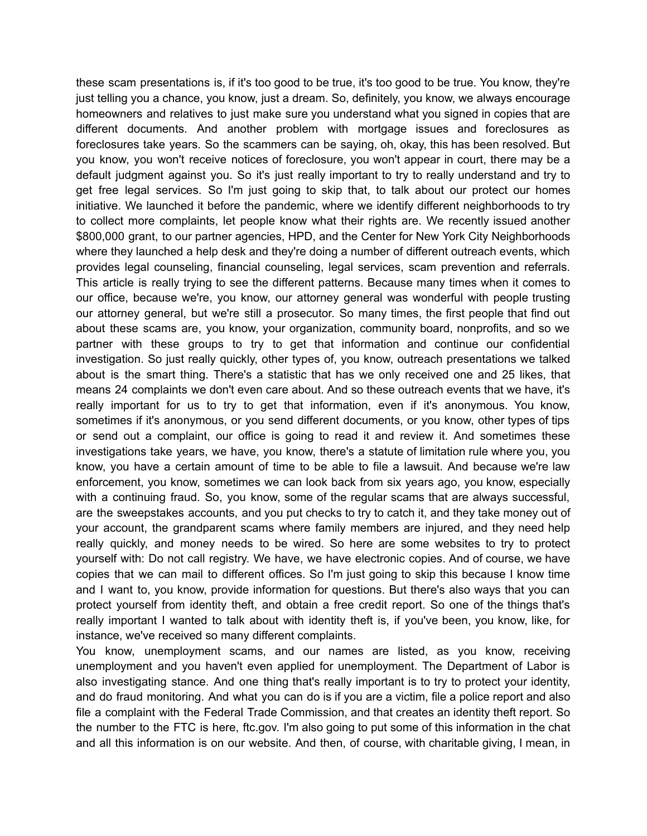these scam presentations is, if it's too good to be true, it's too good to be true. You know, they're just telling you a chance, you know, just a dream. So, definitely, you know, we always encourage homeowners and relatives to just make sure you understand what you signed in copies that are different documents. And another problem with mortgage issues and foreclosures as foreclosures take years. So the scammers can be saying, oh, okay, this has been resolved. But you know, you won't receive notices of foreclosure, you won't appear in court, there may be a default judgment against you. So it's just really important to try to really understand and try to get free legal services. So I'm just going to skip that, to talk about our protect our homes initiative. We launched it before the pandemic, where we identify different neighborhoods to try to collect more complaints, let people know what their rights are. We recently issued another \$800,000 grant, to our partner agencies, HPD, and the Center for New York City Neighborhoods where they launched a help desk and they're doing a number of different outreach events, which provides legal counseling, financial counseling, legal services, scam prevention and referrals. This article is really trying to see the different patterns. Because many times when it comes to our office, because we're, you know, our attorney general was wonderful with people trusting our attorney general, but we're still a prosecutor. So many times, the first people that find out about these scams are, you know, your organization, community board, nonprofits, and so we partner with these groups to try to get that information and continue our confidential investigation. So just really quickly, other types of, you know, outreach presentations we talked about is the smart thing. There's a statistic that has we only received one and 25 likes, that means 24 complaints we don't even care about. And so these outreach events that we have, it's really important for us to try to get that information, even if it's anonymous. You know, sometimes if it's anonymous, or you send different documents, or you know, other types of tips or send out a complaint, our office is going to read it and review it. And sometimes these investigations take years, we have, you know, there's a statute of limitation rule where you, you know, you have a certain amount of time to be able to file a lawsuit. And because we're law enforcement, you know, sometimes we can look back from six years ago, you know, especially with a continuing fraud. So, you know, some of the regular scams that are always successful, are the sweepstakes accounts, and you put checks to try to catch it, and they take money out of your account, the grandparent scams where family members are injured, and they need help really quickly, and money needs to be wired. So here are some websites to try to protect yourself with: Do not call registry. We have, we have electronic copies. And of course, we have copies that we can mail to different offices. So I'm just going to skip this because I know time and I want to, you know, provide information for questions. But there's also ways that you can protect yourself from identity theft, and obtain a free credit report. So one of the things that's really important I wanted to talk about with identity theft is, if you've been, you know, like, for instance, we've received so many different complaints.

You know, unemployment scams, and our names are listed, as you know, receiving unemployment and you haven't even applied for unemployment. The Department of Labor is also investigating stance. And one thing that's really important is to try to protect your identity, and do fraud monitoring. And what you can do is if you are a victim, file a police report and also file a complaint with the Federal Trade Commission, and that creates an identity theft report. So the number to the FTC is here, ftc.gov. I'm also going to put some of this information in the chat and all this information is on our website. And then, of course, with charitable giving, I mean, in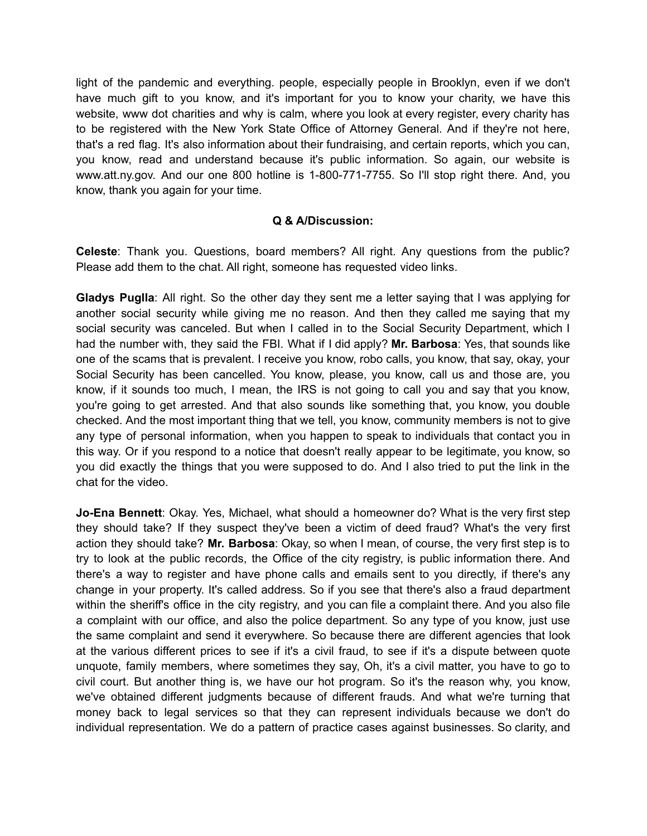light of the pandemic and everything. people, especially people in Brooklyn, even if we don't have much gift to you know, and it's important for you to know your charity, we have this website, www dot charities and why is calm, where you look at every register, every charity has to be registered with the New York State Office of Attorney General. And if they're not here, that's a red flag. It's also information about their fundraising, and certain reports, which you can, you know, read and understand because it's public information. So again, our website is www.att.ny.gov. And our one 800 hotline is 1-800-771-7755. So I'll stop right there. And, you know, thank you again for your time.

### **Q & A/Discussion:**

**Celeste**: Thank you. Questions, board members? All right. Any questions from the public? Please add them to the chat. All right, someone has requested video links.

**Gladys Puglla**: All right. So the other day they sent me a letter saying that I was applying for another social security while giving me no reason. And then they called me saying that my social security was canceled. But when I called in to the Social Security Department, which I had the number with, they said the FBI. What if I did apply? **Mr. Barbosa**: Yes, that sounds like one of the scams that is prevalent. I receive you know, robo calls, you know, that say, okay, your Social Security has been cancelled. You know, please, you know, call us and those are, you know, if it sounds too much, I mean, the IRS is not going to call you and say that you know, you're going to get arrested. And that also sounds like something that, you know, you double checked. And the most important thing that we tell, you know, community members is not to give any type of personal information, when you happen to speak to individuals that contact you in this way. Or if you respond to a notice that doesn't really appear to be legitimate, you know, so you did exactly the things that you were supposed to do. And I also tried to put the link in the chat for the video.

**Jo-Ena Bennett**: Okay. Yes, Michael, what should a homeowner do? What is the very first step they should take? If they suspect they've been a victim of deed fraud? What's the very first action they should take? **Mr. Barbosa**: Okay, so when I mean, of course, the very first step is to try to look at the public records, the Office of the city registry, is public information there. And there's a way to register and have phone calls and emails sent to you directly, if there's any change in your property. It's called address. So if you see that there's also a fraud department within the sheriff's office in the city registry, and you can file a complaint there. And you also file a complaint with our office, and also the police department. So any type of you know, just use the same complaint and send it everywhere. So because there are different agencies that look at the various different prices to see if it's a civil fraud, to see if it's a dispute between quote unquote, family members, where sometimes they say, Oh, it's a civil matter, you have to go to civil court. But another thing is, we have our hot program. So it's the reason why, you know, we've obtained different judgments because of different frauds. And what we're turning that money back to legal services so that they can represent individuals because we don't do individual representation. We do a pattern of practice cases against businesses. So clarity, and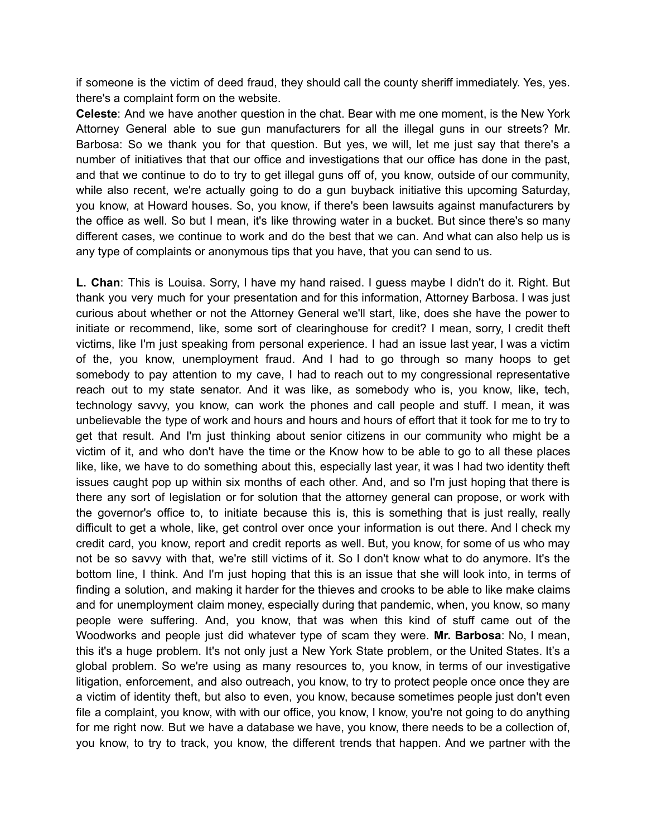if someone is the victim of deed fraud, they should call the county sheriff immediately. Yes, yes. there's a complaint form on the website.

**Celeste**: And we have another question in the chat. Bear with me one moment, is the New York Attorney General able to sue gun manufacturers for all the illegal guns in our streets? Mr. Barbosa: So we thank you for that question. But yes, we will, let me just say that there's a number of initiatives that that our office and investigations that our office has done in the past, and that we continue to do to try to get illegal guns off of, you know, outside of our community, while also recent, we're actually going to do a gun buyback initiative this upcoming Saturday, you know, at Howard houses. So, you know, if there's been lawsuits against manufacturers by the office as well. So but I mean, it's like throwing water in a bucket. But since there's so many different cases, we continue to work and do the best that we can. And what can also help us is any type of complaints or anonymous tips that you have, that you can send to us.

**L. Chan**: This is Louisa. Sorry, I have my hand raised. I guess maybe I didn't do it. Right. But thank you very much for your presentation and for this information, Attorney Barbosa. I was just curious about whether or not the Attorney General we'll start, like, does she have the power to initiate or recommend, like, some sort of clearinghouse for credit? I mean, sorry, I credit theft victims, like I'm just speaking from personal experience. I had an issue last year, I was a victim of the, you know, unemployment fraud. And I had to go through so many hoops to get somebody to pay attention to my cave, I had to reach out to my congressional representative reach out to my state senator. And it was like, as somebody who is, you know, like, tech, technology savvy, you know, can work the phones and call people and stuff. I mean, it was unbelievable the type of work and hours and hours and hours of effort that it took for me to try to get that result. And I'm just thinking about senior citizens in our community who might be a victim of it, and who don't have the time or the Know how to be able to go to all these places like, like, we have to do something about this, especially last year, it was I had two identity theft issues caught pop up within six months of each other. And, and so I'm just hoping that there is there any sort of legislation or for solution that the attorney general can propose, or work with the governor's office to, to initiate because this is, this is something that is just really, really difficult to get a whole, like, get control over once your information is out there. And I check my credit card, you know, report and credit reports as well. But, you know, for some of us who may not be so savvy with that, we're still victims of it. So I don't know what to do anymore. It's the bottom line, I think. And I'm just hoping that this is an issue that she will look into, in terms of finding a solution, and making it harder for the thieves and crooks to be able to like make claims and for unemployment claim money, especially during that pandemic, when, you know, so many people were suffering. And, you know, that was when this kind of stuff came out of the Woodworks and people just did whatever type of scam they were. **Mr. Barbosa**: No, I mean, this it's a huge problem. It's not only just a New York State problem, or the United States. It's a global problem. So we're using as many resources to, you know, in terms of our investigative litigation, enforcement, and also outreach, you know, to try to protect people once once they are a victim of identity theft, but also to even, you know, because sometimes people just don't even file a complaint, you know, with with our office, you know, I know, you're not going to do anything for me right now. But we have a database we have, you know, there needs to be a collection of, you know, to try to track, you know, the different trends that happen. And we partner with the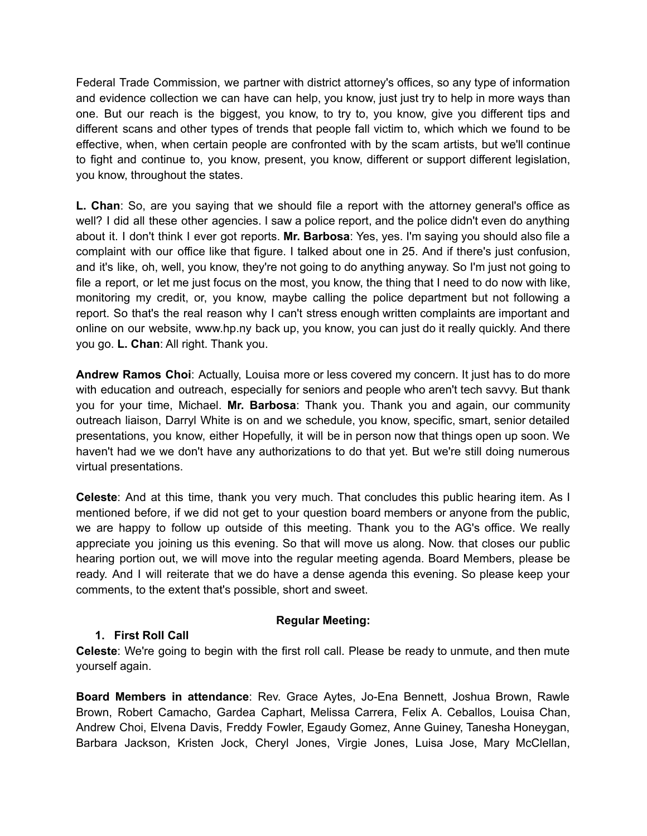Federal Trade Commission, we partner with district attorney's offices, so any type of information and evidence collection we can have can help, you know, just just try to help in more ways than one. But our reach is the biggest, you know, to try to, you know, give you different tips and different scans and other types of trends that people fall victim to, which which we found to be effective, when, when certain people are confronted with by the scam artists, but we'll continue to fight and continue to, you know, present, you know, different or support different legislation, you know, throughout the states.

**L. Chan**: So, are you saying that we should file a report with the attorney general's office as well? I did all these other agencies. I saw a police report, and the police didn't even do anything about it. I don't think I ever got reports. **Mr. Barbosa**: Yes, yes. I'm saying you should also file a complaint with our office like that figure. I talked about one in 25. And if there's just confusion, and it's like, oh, well, you know, they're not going to do anything anyway. So I'm just not going to file a report, or let me just focus on the most, you know, the thing that I need to do now with like, monitoring my credit, or, you know, maybe calling the police department but not following a report. So that's the real reason why I can't stress enough written complaints are important and online on our website, www.hp.ny back up, you know, you can just do it really quickly. And there you go. **L. Chan**: All right. Thank you.

**Andrew Ramos Choi**: Actually, Louisa more or less covered my concern. It just has to do more with education and outreach, especially for seniors and people who aren't tech savvy. But thank you for your time, Michael. **Mr. Barbosa**: Thank you. Thank you and again, our community outreach liaison, Darryl White is on and we schedule, you know, specific, smart, senior detailed presentations, you know, either Hopefully, it will be in person now that things open up soon. We haven't had we we don't have any authorizations to do that yet. But we're still doing numerous virtual presentations.

**Celeste**: And at this time, thank you very much. That concludes this public hearing item. As I mentioned before, if we did not get to your question board members or anyone from the public, we are happy to follow up outside of this meeting. Thank you to the AG's office. We really appreciate you joining us this evening. So that will move us along. Now. that closes our public hearing portion out, we will move into the regular meeting agenda. Board Members, please be ready. And I will reiterate that we do have a dense agenda this evening. So please keep your comments, to the extent that's possible, short and sweet.

#### **Regular Meeting:**

# **1. First Roll Call**

**Celeste**: We're going to begin with the first roll call. Please be ready to unmute, and then mute yourself again.

**Board Members in attendance**: Rev. Grace Aytes, Jo-Ena Bennett, Joshua Brown, Rawle Brown, Robert Camacho, Gardea Caphart, Melissa Carrera, Felix A. Ceballos, Louisa Chan, Andrew Choi, Elvena Davis, Freddy Fowler, Egaudy Gomez, Anne Guiney, Tanesha Honeygan, Barbara Jackson, Kristen Jock, Cheryl Jones, Virgie Jones, Luisa Jose, Mary McClellan,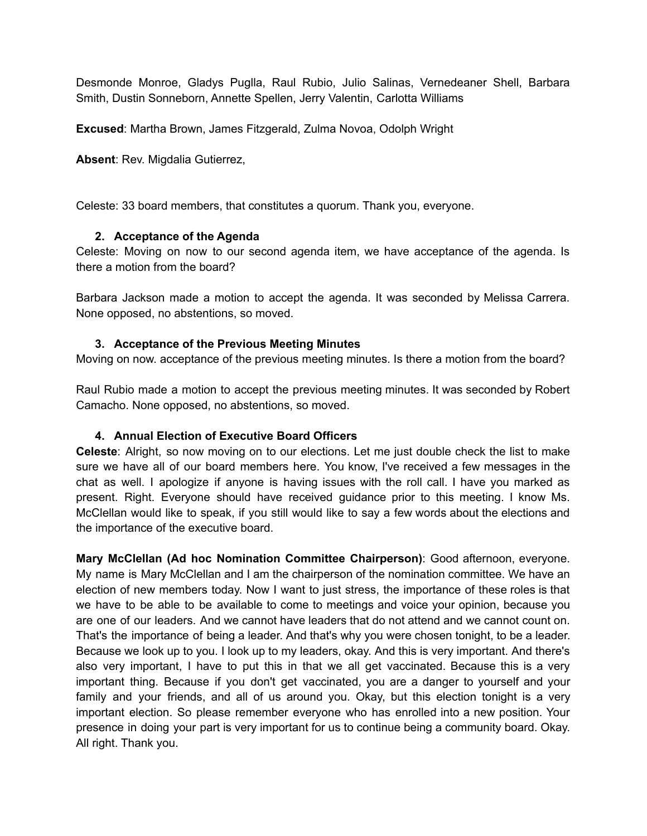Desmonde Monroe, Gladys Puglla, Raul Rubio, Julio Salinas, Vernedeaner Shell, Barbara Smith, Dustin Sonneborn, Annette Spellen, Jerry Valentin, Carlotta Williams

**Excused**: Martha Brown, James Fitzgerald, Zulma Novoa, Odolph Wright

**Absent**: Rev. Migdalia Gutierrez,

Celeste: 33 board members, that constitutes a quorum. Thank you, everyone.

#### **2. Acceptance of the Agenda**

Celeste: Moving on now to our second agenda item, we have acceptance of the agenda. Is there a motion from the board?

Barbara Jackson made a motion to accept the agenda. It was seconded by Melissa Carrera. None opposed, no abstentions, so moved.

#### **3. Acceptance of the Previous Meeting Minutes**

Moving on now. acceptance of the previous meeting minutes. Is there a motion from the board?

Raul Rubio made a motion to accept the previous meeting minutes. It was seconded by Robert Camacho. None opposed, no abstentions, so moved.

#### **4. Annual Election of Executive Board Officers**

**Celeste**: Alright, so now moving on to our elections. Let me just double check the list to make sure we have all of our board members here. You know, I've received a few messages in the chat as well. I apologize if anyone is having issues with the roll call. I have you marked as present. Right. Everyone should have received guidance prior to this meeting. I know Ms. McClellan would like to speak, if you still would like to say a few words about the elections and the importance of the executive board.

**Mary McClellan (Ad hoc Nomination Committee Chairperson)**: Good afternoon, everyone. My name is Mary McClellan and I am the chairperson of the nomination committee. We have an election of new members today. Now I want to just stress, the importance of these roles is that we have to be able to be available to come to meetings and voice your opinion, because you are one of our leaders. And we cannot have leaders that do not attend and we cannot count on. That's the importance of being a leader. And that's why you were chosen tonight, to be a leader. Because we look up to you. I look up to my leaders, okay. And this is very important. And there's also very important, I have to put this in that we all get vaccinated. Because this is a very important thing. Because if you don't get vaccinated, you are a danger to yourself and your family and your friends, and all of us around you. Okay, but this election tonight is a very important election. So please remember everyone who has enrolled into a new position. Your presence in doing your part is very important for us to continue being a community board. Okay. All right. Thank you.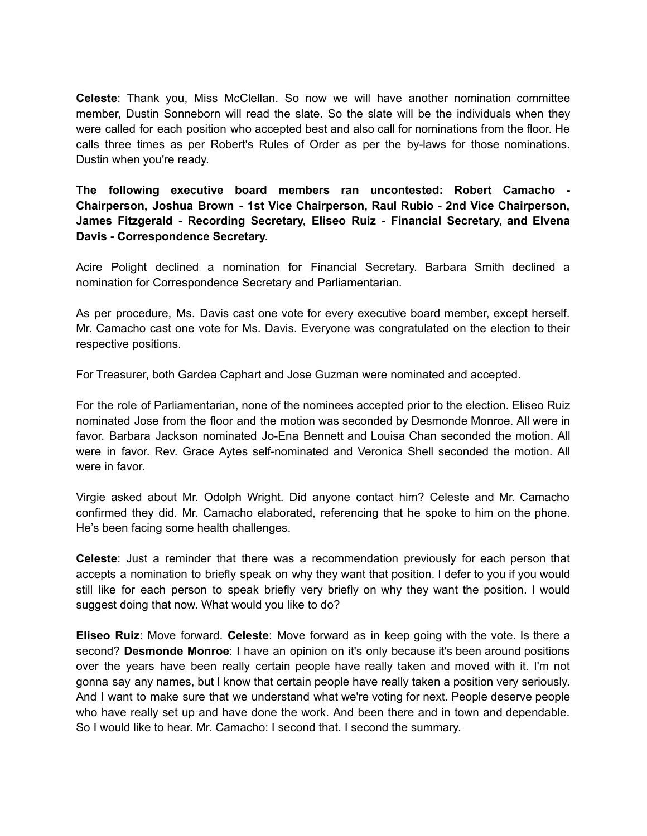**Celeste**: Thank you, Miss McClellan. So now we will have another nomination committee member, Dustin Sonneborn will read the slate. So the slate will be the individuals when they were called for each position who accepted best and also call for nominations from the floor. He calls three times as per Robert's Rules of Order as per the by-laws for those nominations. Dustin when you're ready.

**The following executive board members ran uncontested: Robert Camacho - Chairperson, Joshua Brown - 1st Vice Chairperson, Raul Rubio - 2nd Vice Chairperson, James Fitzgerald - Recording Secretary, Eliseo Ruiz - Financial Secretary, and Elvena Davis - Correspondence Secretary.**

Acire Polight declined a nomination for Financial Secretary. Barbara Smith declined a nomination for Correspondence Secretary and Parliamentarian.

As per procedure, Ms. Davis cast one vote for every executive board member, except herself. Mr. Camacho cast one vote for Ms. Davis. Everyone was congratulated on the election to their respective positions.

For Treasurer, both Gardea Caphart and Jose Guzman were nominated and accepted.

For the role of Parliamentarian, none of the nominees accepted prior to the election. Eliseo Ruiz nominated Jose from the floor and the motion was seconded by Desmonde Monroe. All were in favor. Barbara Jackson nominated Jo-Ena Bennett and Louisa Chan seconded the motion. All were in favor. Rev. Grace Aytes self-nominated and Veronica Shell seconded the motion. All were in favor.

Virgie asked about Mr. Odolph Wright. Did anyone contact him? Celeste and Mr. Camacho confirmed they did. Mr. Camacho elaborated, referencing that he spoke to him on the phone. He's been facing some health challenges.

**Celeste**: Just a reminder that there was a recommendation previously for each person that accepts a nomination to briefly speak on why they want that position. I defer to you if you would still like for each person to speak briefly very briefly on why they want the position. I would suggest doing that now. What would you like to do?

**Eliseo Ruiz**: Move forward. **Celeste**: Move forward as in keep going with the vote. Is there a second? **Desmonde Monroe**: I have an opinion on it's only because it's been around positions over the years have been really certain people have really taken and moved with it. I'm not gonna say any names, but I know that certain people have really taken a position very seriously. And I want to make sure that we understand what we're voting for next. People deserve people who have really set up and have done the work. And been there and in town and dependable. So I would like to hear. Mr. Camacho: I second that. I second the summary.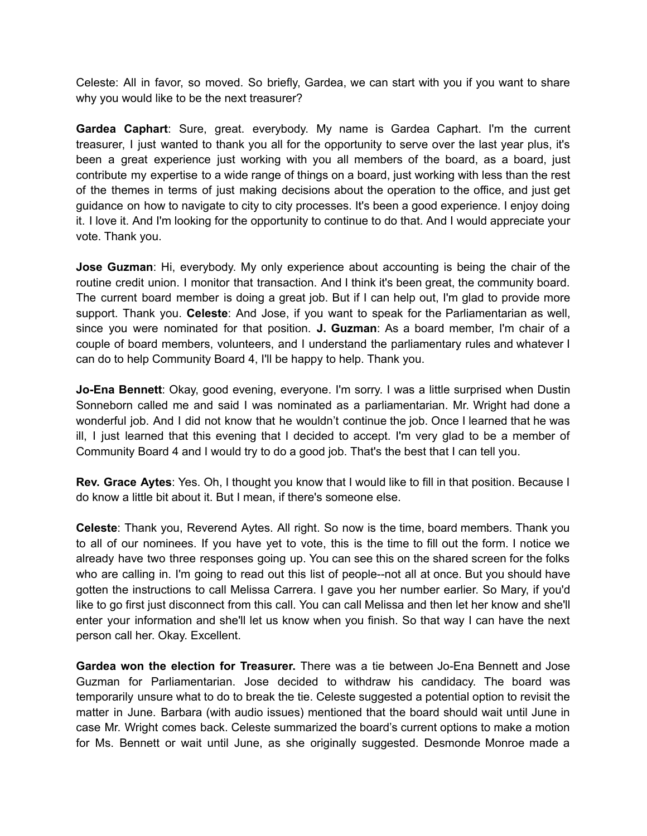Celeste: All in favor, so moved. So briefly, Gardea, we can start with you if you want to share why you would like to be the next treasurer?

**Gardea Caphart**: Sure, great. everybody. My name is Gardea Caphart. I'm the current treasurer, I just wanted to thank you all for the opportunity to serve over the last year plus, it's been a great experience just working with you all members of the board, as a board, just contribute my expertise to a wide range of things on a board, just working with less than the rest of the themes in terms of just making decisions about the operation to the office, and just get guidance on how to navigate to city to city processes. It's been a good experience. I enjoy doing it. I love it. And I'm looking for the opportunity to continue to do that. And I would appreciate your vote. Thank you.

**Jose Guzman**: Hi, everybody. My only experience about accounting is being the chair of the routine credit union. I monitor that transaction. And I think it's been great, the community board. The current board member is doing a great job. But if I can help out, I'm glad to provide more support. Thank you. **Celeste**: And Jose, if you want to speak for the Parliamentarian as well, since you were nominated for that position. **J. Guzman**: As a board member, I'm chair of a couple of board members, volunteers, and I understand the parliamentary rules and whatever I can do to help Community Board 4, I'll be happy to help. Thank you.

**Jo-Ena Bennett**: Okay, good evening, everyone. I'm sorry. I was a little surprised when Dustin Sonneborn called me and said I was nominated as a parliamentarian. Mr. Wright had done a wonderful job. And I did not know that he wouldn't continue the job. Once I learned that he was ill, I just learned that this evening that I decided to accept. I'm very glad to be a member of Community Board 4 and I would try to do a good job. That's the best that I can tell you.

**Rev. Grace Aytes**: Yes. Oh, I thought you know that I would like to fill in that position. Because I do know a little bit about it. But I mean, if there's someone else.

**Celeste**: Thank you, Reverend Aytes. All right. So now is the time, board members. Thank you to all of our nominees. If you have yet to vote, this is the time to fill out the form. I notice we already have two three responses going up. You can see this on the shared screen for the folks who are calling in. I'm going to read out this list of people--not all at once. But you should have gotten the instructions to call Melissa Carrera. I gave you her number earlier. So Mary, if you'd like to go first just disconnect from this call. You can call Melissa and then let her know and she'll enter your information and she'll let us know when you finish. So that way I can have the next person call her. Okay. Excellent.

**Gardea won the election for Treasurer.** There was a tie between Jo-Ena Bennett and Jose Guzman for Parliamentarian. Jose decided to withdraw his candidacy. The board was temporarily unsure what to do to break the tie. Celeste suggested a potential option to revisit the matter in June. Barbara (with audio issues) mentioned that the board should wait until June in case Mr. Wright comes back. Celeste summarized the board's current options to make a motion for Ms. Bennett or wait until June, as she originally suggested. Desmonde Monroe made a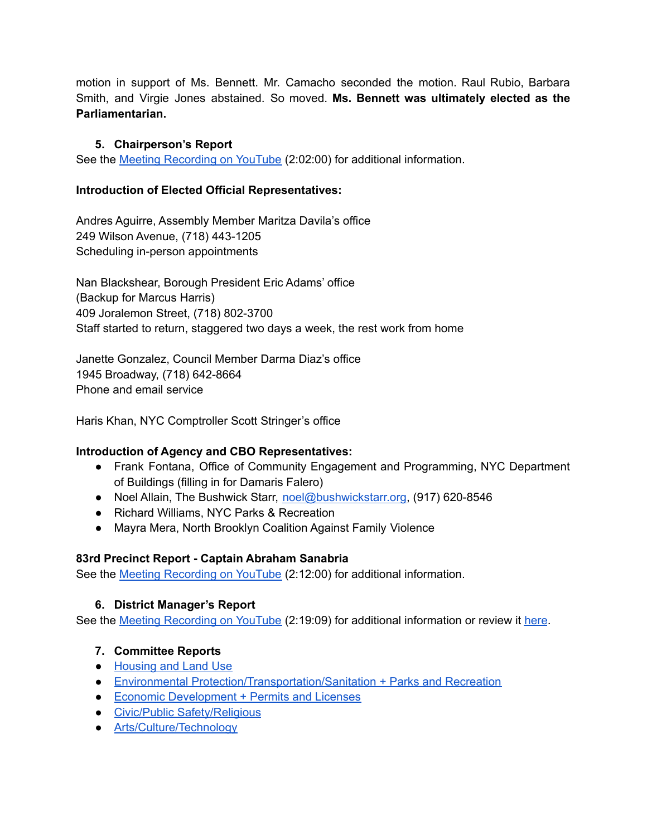motion in support of Ms. Bennett. Mr. Camacho seconded the motion. Raul Rubio, Barbara Smith, and Virgie Jones abstained. So moved. **Ms. Bennett was ultimately elected as the Parliamentarian.**

# **5. Chairperson's Report**

See the Meeting [Recording](https://www.youtube.com/watch?v=MSCT2mInwUM) on YouTube (2:02:00) for additional information.

# **Introduction of Elected Official Representatives:**

Andres Aguirre, Assembly Member Maritza Davila's office 249 Wilson Avenue, (718) 443-1205 Scheduling in-person appointments

Nan Blackshear, Borough President Eric Adams' office (Backup for Marcus Harris) 409 Joralemon Street, (718) 802-3700 Staff started to return, staggered two days a week, the rest work from home

Janette Gonzalez, Council Member Darma Diaz's office 1945 Broadway, (718) 642-8664 Phone and email service

Haris Khan, NYC Comptroller Scott Stringer's office

# **Introduction of Agency and CBO Representatives:**

- Frank Fontana, Office of Community Engagement and Programming, NYC Department of Buildings (filling in for Damaris Falero)
- Noel Allain, The Bushwick Starr, [noel@bushwickstarr.org,](mailto:noel@bushwickstarr.org) (917) 620-8546
- Richard Williams, NYC Parks & Recreation
- Mayra Mera, North Brooklyn Coalition Against Family Violence

# **83rd Precinct Report - Captain Abraham Sanabria**

See the Meeting [Recording](https://www.youtube.com/watch?v=MSCT2mInwUM) on YouTube (2:12:00) for additional information.

# **6. District Manager's Report**

See the Meeting [Recording](https://www.youtube.com/watch?v=MSCT2mInwUM) on YouTube (2:19:09) for additional information or review it [here](https://drive.google.com/file/d/1WZrSVKrdY999gdO8abFQx9DHfwT1_TjU/view?usp=sharing).

# **7. Committee Reports**

- [Housing](https://drive.google.com/file/d/1YSgmqBFJ50iS5hAv4BHTG61i1Oe6kize/view?usp=sharing) and Land Use
- Environmental [Protection/Transportation/Sanitation](https://drive.google.com/file/d/1iDU6-7gwdY55OzIerT_fCnzyGlDcwA1n/view?usp=sharing) + Parks and Recreation
- Economic [Development](https://drive.google.com/file/d/16Tkgpn9qoBlD_Uv8o836r6wIhoMh4gf8/view?usp=sharing) + Permits and Licenses
- Civic/Public [Safety/Religious](https://drive.google.com/file/d/11gFrRVp23gflN__zVWfIFDGPSFvgDmal/view?usp=sharing)
- [Arts/Culture/Technology](https://drive.google.com/file/d/1dzFxzyMUIb5FWr4x2QyfDQG8YS-hlUVz/view?usp=sharing)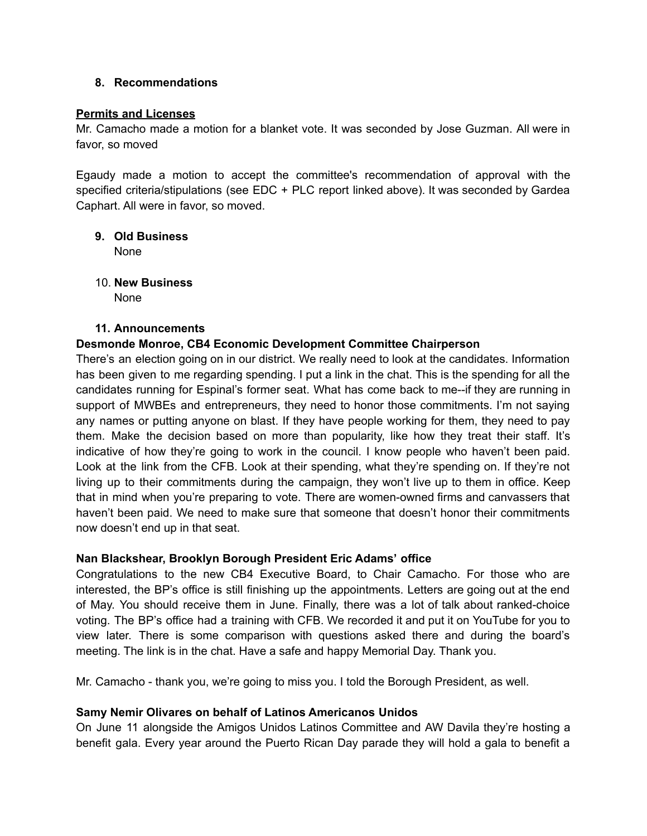#### **8. Recommendations**

#### **Permits and Licenses**

Mr. Camacho made a motion for a blanket vote. It was seconded by Jose Guzman. All were in favor, so moved

Egaudy made a motion to accept the committee's recommendation of approval with the specified criteria/stipulations (see EDC + PLC report linked above). It was seconded by Gardea Caphart. All were in favor, so moved.

- **9. Old Business** None
- 10. **New Business**
	- None

#### **11. Announcements**

### **Desmonde Monroe, CB4 Economic Development Committee Chairperson**

There's an election going on in our district. We really need to look at the candidates. Information has been given to me regarding spending. I put a link in the chat. This is the spending for all the candidates running for Espinal's former seat. What has come back to me--if they are running in support of MWBEs and entrepreneurs, they need to honor those commitments. I'm not saying any names or putting anyone on blast. If they have people working for them, they need to pay them. Make the decision based on more than popularity, like how they treat their staff. It's indicative of how they're going to work in the council. I know people who haven't been paid. Look at the link from the CFB. Look at their spending, what they're spending on. If they're not living up to their commitments during the campaign, they won't live up to them in office. Keep that in mind when you're preparing to vote. There are women-owned firms and canvassers that haven't been paid. We need to make sure that someone that doesn't honor their commitments now doesn't end up in that seat.

#### **Nan Blackshear, Brooklyn Borough President Eric Adams' office**

Congratulations to the new CB4 Executive Board, to Chair Camacho. For those who are interested, the BP's office is still finishing up the appointments. Letters are going out at the end of May. You should receive them in June. Finally, there was a lot of talk about ranked-choice voting. The BP's office had a training with CFB. We recorded it and put it on YouTube for you to view later. There is some comparison with questions asked there and during the board's meeting. The link is in the chat. Have a safe and happy Memorial Day. Thank you.

Mr. Camacho - thank you, we're going to miss you. I told the Borough President, as well.

#### **Samy Nemir Olivares on behalf of Latinos Americanos Unidos**

On June 11 alongside the Amigos Unidos Latinos Committee and AW Davila they're hosting a benefit gala. Every year around the Puerto Rican Day parade they will hold a gala to benefit a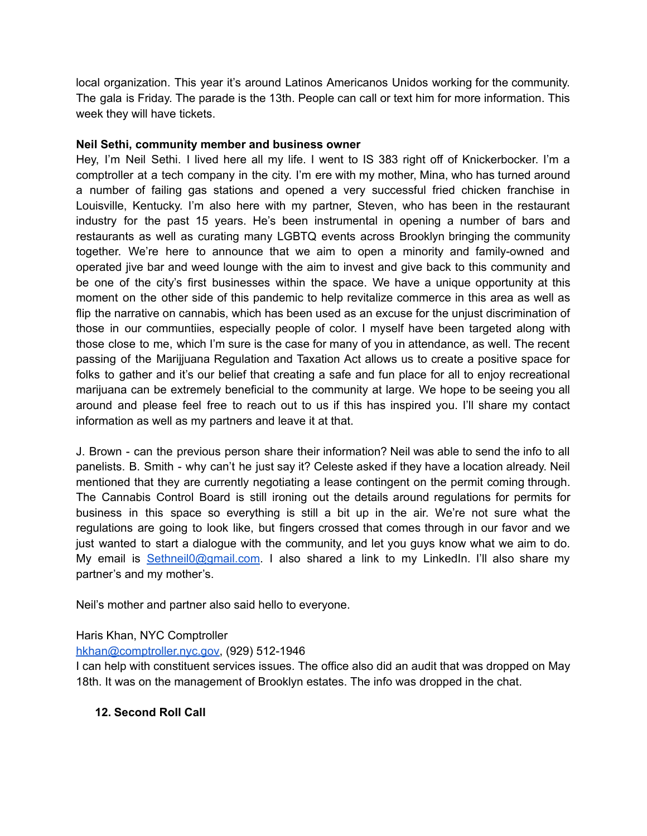local organization. This year it's around Latinos Americanos Unidos working for the community. The gala is Friday. The parade is the 13th. People can call or text him for more information. This week they will have tickets.

#### **Neil Sethi, community member and business owner**

Hey, I'm Neil Sethi. I lived here all my life. I went to IS 383 right off of Knickerbocker. I'm a comptroller at a tech company in the city. I'm ere with my mother, Mina, who has turned around a number of failing gas stations and opened a very successful fried chicken franchise in Louisville, Kentucky. I'm also here with my partner, Steven, who has been in the restaurant industry for the past 15 years. He's been instrumental in opening a number of bars and restaurants as well as curating many LGBTQ events across Brooklyn bringing the community together. We're here to announce that we aim to open a minority and family-owned and operated jive bar and weed lounge with the aim to invest and give back to this community and be one of the city's first businesses within the space. We have a unique opportunity at this moment on the other side of this pandemic to help revitalize commerce in this area as well as flip the narrative on cannabis, which has been used as an excuse for the unjust discrimination of those in our communtiies, especially people of color. I myself have been targeted along with those close to me, which I'm sure is the case for many of you in attendance, as well. The recent passing of the Marijjuana Regulation and Taxation Act allows us to create a positive space for folks to gather and it's our belief that creating a safe and fun place for all to enjoy recreational marijuana can be extremely beneficial to the community at large. We hope to be seeing you all around and please feel free to reach out to us if this has inspired you. I'll share my contact information as well as my partners and leave it at that.

J. Brown - can the previous person share their information? Neil was able to send the info to all panelists. B. Smith - why can't he just say it? Celeste asked if they have a location already. Neil mentioned that they are currently negotiating a lease contingent on the permit coming through. The Cannabis Control Board is still ironing out the details around regulations for permits for business in this space so everything is still a bit up in the air. We're not sure what the regulations are going to look like, but fingers crossed that comes through in our favor and we just wanted to start a dialogue with the community, and let you guys know what we aim to do. My email is [Sethneil0@gmail.com](mailto:Sethneil0@gmail.com). I also shared a link to my LinkedIn. I'll also share my partner's and my mother's.

Neil's mother and partner also said hello to everyone.

Haris Khan, NYC Comptroller

# [hkhan@comptroller.nyc.gov,](mailto:hkhan@comptroller.nyc.gov) (929) 512-1946

I can help with constituent services issues. The office also did an audit that was dropped on May 18th. It was on the management of Brooklyn estates. The info was dropped in the chat.

# **12. Second Roll Call**